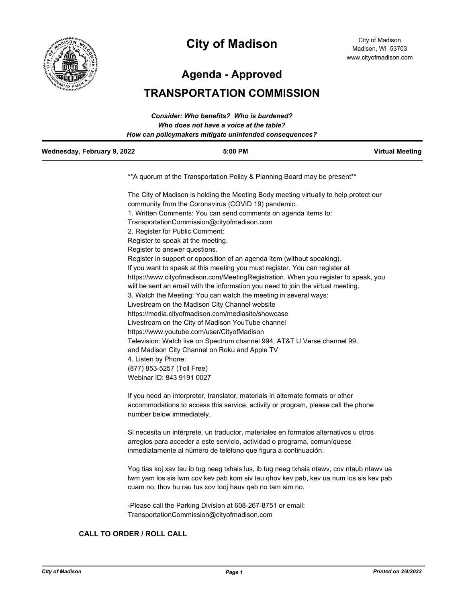

# **City of Madison**

City of Madison Madison, WI 53703 www.cityofmadison.com

**Agenda - Approved**

# **TRANSPORTATION COMMISSION**

| How can policymakers mitigate unintended consequences? |           |                        |
|--------------------------------------------------------|-----------|------------------------|
| Wednesday, February 9, 2022                            | $5:00$ PM | <b>Virtual Meeting</b> |

\*\*A quorum of the Transportation Policy & Planning Board may be present\*\*

The City of Madison is holding the Meeting Body meeting virtually to help protect our community from the Coronavirus (COVID 19) pandemic. 1. Written Comments: You can send comments on agenda items to: TransportationCommission@cityofmadison.com 2. Register for Public Comment: Register to speak at the meeting. Register to answer questions. Register in support or opposition of an agenda item (without speaking). If you want to speak at this meeting you must register. You can register at https://www.cityofmadison.com/MeetingRegistration. When you register to speak, you will be sent an email with the information you need to join the virtual meeting. 3. Watch the Meeting: You can watch the meeting in several ways: Livestream on the Madison City Channel website https://media.cityofmadison.com/mediasite/showcase Livestream on the City of Madison YouTube channel https://www.youtube.com/user/CityofMadison Television: Watch live on Spectrum channel 994, AT&T U Verse channel 99, and Madison City Channel on Roku and Apple TV 4. Listen by Phone: (877) 853-5257 (Toll Free) Webinar ID: 843 9191 0027

If you need an interpreter, translator, materials in alternate formats or other accommodations to access this service, activity or program, please call the phone number below immediately.

Si necesita un intérprete, un traductor, materiales en formatos alternativos u otros arreglos para acceder a este servicio, actividad o programa, comuníquese inmediatamente al número de teléfono que figura a continuación.

Yog tias koj xav tau ib tug neeg txhais lus, ib tug neeg txhais ntawv, cov ntaub ntawv ua lwm yam los sis lwm cov kev pab kom siv tau qhov kev pab, kev ua num los sis kev pab cuam no, thov hu rau tus xov tooj hauv qab no tam sim no.

-Please call the Parking Division at 608-267-8751 or email: TransportationCommission@cityofmadison.com

# **CALL TO ORDER / ROLL CALL**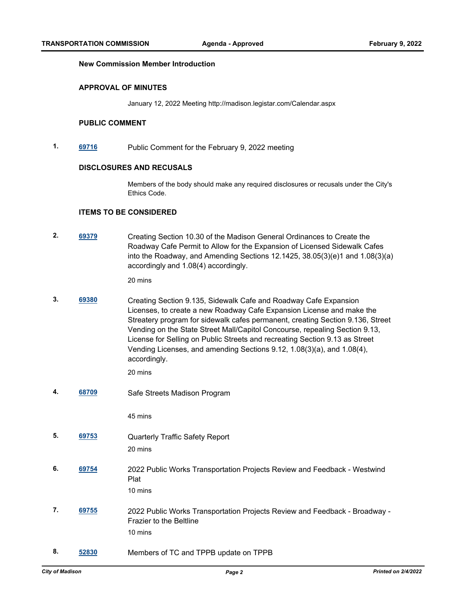#### **New Commission Member Introduction**

#### **APPROVAL OF MINUTES**

January 12, 2022 Meeting http://madison.legistar.com/Calendar.aspx

#### **PUBLIC COMMENT**

**1. [69716](http://madison.legistar.com/gateway.aspx?m=l&id=/matter.aspx?key=81035)** Public Comment for the February 9, 2022 meeting

### **DISCLOSURES AND RECUSALS**

Members of the body should make any required disclosures or recusals under the City's Ethics Code.

#### **ITEMS TO BE CONSIDERED**

**2. [69379](http://madison.legistar.com/gateway.aspx?m=l&id=/matter.aspx?key=80806)** Creating Section 10.30 of the Madison General Ordinances to Create the Roadway Cafe Permit to Allow for the Expansion of Licensed Sidewalk Cafes into the Roadway, and Amending Sections 12.1425, 38.05(3)(e)1 and 1.08(3)(a) accordingly and 1.08(4) accordingly.

20 mins

**3. [69380](http://madison.legistar.com/gateway.aspx?m=l&id=/matter.aspx?key=80807)** Creating Section 9.135, Sidewalk Cafe and Roadway Cafe Expansion Licenses, to create a new Roadway Cafe Expansion License and make the Streatery program for sidewalk cafes permanent, creating Section 9.136, Street Vending on the State Street Mall/Capitol Concourse, repealing Section 9.13, License for Selling on Public Streets and recreating Section 9.13 as Street Vending Licenses, and amending Sections 9.12, 1.08(3)(a), and 1.08(4), accordingly.

20 mins

**4. [68709](http://madison.legistar.com/gateway.aspx?m=l&id=/matter.aspx?key=80319)** Safe Streets Madison Program

45 mins

- **5. [69753](http://madison.legistar.com/gateway.aspx?m=l&id=/matter.aspx?key=81060)** Quarterly Traffic Safety Report 20 mins
- **6. [69754](http://madison.legistar.com/gateway.aspx?m=l&id=/matter.aspx?key=81061)** 2022 Public Works Transportation Projects Review and Feedback Westwind Plat
	- 10 mins
- **7. [69755](http://madison.legistar.com/gateway.aspx?m=l&id=/matter.aspx?key=81062)** 2022 Public Works Transportation Projects Review and Feedback Broadway Frazier to the Beltline 10 mins
- **8. [52830](http://madison.legistar.com/gateway.aspx?m=l&id=/matter.aspx?key=59483)** Members of TC and TPPB update on TPPB